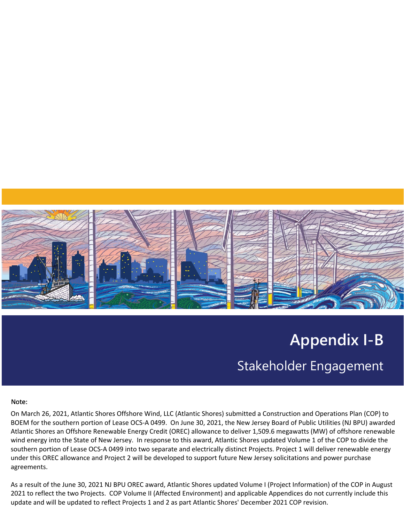

# **Appendix I-B** Stakeholder Engagement

#### Note:

On March 26, 2021, Atlantic Shores Offshore Wind, LLC (Atlantic Shores) submitted a Construction and Operations Plan (COP) to BOEM for the southern portion of Lease OCS-A 0499. On June 30, 2021, the New Jersey Board of Public Utilities (NJ BPU) awarded Atlantic Shores an Offshore Renewable Energy Credit (OREC) allowance to deliver 1,509.6 megawatts (MW) of offshore renewable wind energy into the State of New Jersey. In response to this award, Atlantic Shores updated Volume 1 of the COP to divide the southern portion of Lease OCS-A 0499 into two separate and electrically distinct Projects. Project 1 will deliver renewable energy under this OREC allowance and Project 2 will be developed to support future New Jersey solicitations and power purchase agreements.

As a result of the June 30, 2021 NJ BPU OREC award, Atlantic Shores updated Volume I (Project Information) of the COP in August 2021 to reflect the two Projects. COP Volume II (Affected Environment) and applicable Appendices do not currently include this update and will be updated to reflect Projects 1 and 2 as part Atlantic Shores' December 2021 COP revision.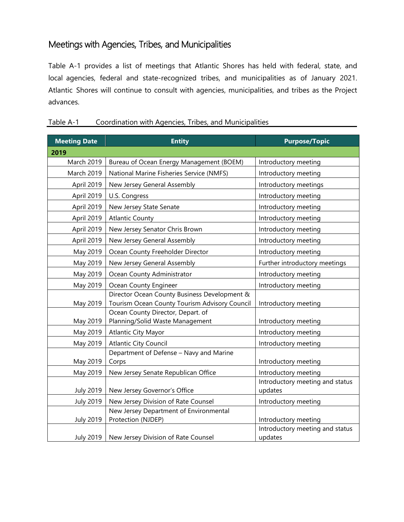## Meetings with Agencies, Tribes, and Municipalities

Table A-1 provides a list of meetings that Atlantic Shores has held with federal, state, and local agencies, federal and state-recognized tribes, and municipalities as of January 2021. Atlantic Shores will continue to consult with agencies, municipalities, and tribes as the Project advances.

| <b>Meeting Date</b> | <b>Entity</b>                                                                      | <b>Purpose/Topic</b>                       |
|---------------------|------------------------------------------------------------------------------------|--------------------------------------------|
| 2019                |                                                                                    |                                            |
| <b>March 2019</b>   | Bureau of Ocean Energy Management (BOEM)                                           | Introductory meeting                       |
| March 2019          | National Marine Fisheries Service (NMFS)                                           | Introductory meeting                       |
| April 2019          | New Jersey General Assembly                                                        | Introductory meetings                      |
| April 2019          | U.S. Congress                                                                      | Introductory meeting                       |
| April 2019          | New Jersey State Senate                                                            | Introductory meeting                       |
| April 2019          | <b>Atlantic County</b>                                                             | Introductory meeting                       |
| April 2019          | New Jersey Senator Chris Brown                                                     | Introductory meeting                       |
| April 2019          | New Jersey General Assembly                                                        | Introductory meeting                       |
| May 2019            | Ocean County Freeholder Director                                                   | Introductory meeting                       |
| May 2019            | New Jersey General Assembly                                                        | Further introductory meetings              |
| May 2019            | Ocean County Administrator                                                         | Introductory meeting                       |
| May 2019            | Ocean County Engineer                                                              | Introductory meeting                       |
|                     | Director Ocean County Business Development &                                       |                                            |
| May 2019            | Tourism Ocean County Tourism Advisory Council<br>Ocean County Director, Depart. of | Introductory meeting                       |
| May 2019            | Planning/Solid Waste Management                                                    | Introductory meeting                       |
| May 2019            | <b>Atlantic City Mayor</b>                                                         | Introductory meeting                       |
| May 2019            | <b>Atlantic City Council</b>                                                       | Introductory meeting                       |
|                     | Department of Defense - Navy and Marine                                            |                                            |
| May 2019            | Corps                                                                              | Introductory meeting                       |
| May 2019            | New Jersey Senate Republican Office                                                | Introductory meeting                       |
|                     |                                                                                    | Introductory meeting and status            |
| <b>July 2019</b>    | New Jersey Governor's Office                                                       | updates                                    |
| <b>July 2019</b>    | New Jersey Division of Rate Counsel                                                | Introductory meeting                       |
|                     | New Jersey Department of Environmental                                             |                                            |
| <b>July 2019</b>    | Protection (NJDEP)                                                                 | Introductory meeting                       |
| <b>July 2019</b>    | New Jersey Division of Rate Counsel                                                | Introductory meeting and status<br>updates |

#### Table A-1 Coordination with Agencies, Tribes, and Municipalities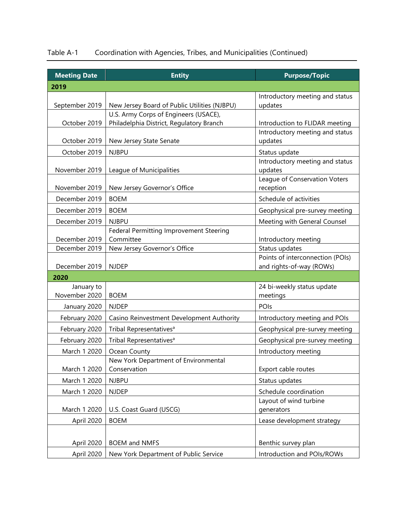| Table A-1 |  | Coordination with Agencies, Tribes, and Municipalities (Continued) |
|-----------|--|--------------------------------------------------------------------|
|-----------|--|--------------------------------------------------------------------|

| <b>Meeting Date</b> | <b>Entity</b>                                        | <b>Purpose/Topic</b>                                              |
|---------------------|------------------------------------------------------|-------------------------------------------------------------------|
| 2019                |                                                      |                                                                   |
|                     |                                                      | Introductory meeting and status                                   |
| September 2019      | New Jersey Board of Public Utilities (NJBPU)         | updates                                                           |
|                     | U.S. Army Corps of Engineers (USACE),                |                                                                   |
| October 2019        | Philadelphia District, Regulatory Branch             | Introduction to FLIDAR meeting<br>Introductory meeting and status |
| October 2019        | New Jersey State Senate                              | updates                                                           |
| October 2019        | <b>NJBPU</b>                                         | Status update                                                     |
|                     |                                                      | Introductory meeting and status                                   |
| November 2019       | League of Municipalities                             | updates                                                           |
|                     |                                                      | League of Conservation Voters                                     |
| November 2019       | New Jersey Governor's Office                         | reception                                                         |
| December 2019       | <b>BOEM</b>                                          | Schedule of activities                                            |
| December 2019       | <b>BOEM</b>                                          | Geophysical pre-survey meeting                                    |
| December 2019       | <b>NJBPU</b>                                         | Meeting with General Counsel                                      |
| December 2019       | Federal Permitting Improvement Steering<br>Committee |                                                                   |
| December 2019       | New Jersey Governor's Office                         | Introductory meeting<br>Status updates                            |
|                     |                                                      | Points of interconnection (POIs)                                  |
| December 2019       | <b>NJDEP</b>                                         | and rights-of-way (ROWs)                                          |
| 2020                |                                                      |                                                                   |
| January to          |                                                      | 24 bi-weekly status update                                        |
| November 2020       | <b>BOEM</b>                                          | meetings                                                          |
| January 2020        | <b>NJDEP</b>                                         | POIs                                                              |
| February 2020       | Casino Reinvestment Development Authority            | Introductory meeting and POIs                                     |
| February 2020       | Tribal Representatives <sup>a</sup>                  | Geophysical pre-survey meeting                                    |
| February 2020       | Tribal Representatives <sup>a</sup>                  | Geophysical pre-survey meeting                                    |
| March 1 2020        | Ocean County                                         | Introductory meeting                                              |
|                     | New York Department of Environmental                 |                                                                   |
| March 1 2020        | Conservation                                         | Export cable routes                                               |
| March 1 2020        | <b>NJBPU</b>                                         | Status updates                                                    |
| March 1 2020        | <b>NJDEP</b>                                         | Schedule coordination                                             |
|                     |                                                      | Layout of wind turbine                                            |
| March 1 2020        | U.S. Coast Guard (USCG)                              | generators                                                        |
| April 2020          | <b>BOEM</b>                                          | Lease development strategy                                        |
|                     |                                                      |                                                                   |
| April 2020          | <b>BOEM and NMFS</b>                                 | Benthic survey plan                                               |
| April 2020          | New York Department of Public Service                | Introduction and POIs/ROWs                                        |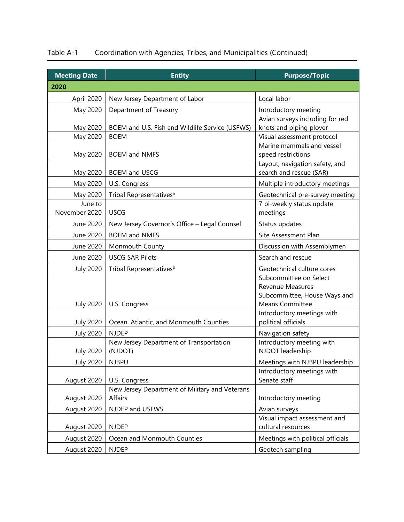| <b>Meeting Date</b>      | <b>Entity</b>                                             | <b>Purpose/Topic</b>                                                                                 |
|--------------------------|-----------------------------------------------------------|------------------------------------------------------------------------------------------------------|
| 2020                     |                                                           |                                                                                                      |
| April 2020               | New Jersey Department of Labor                            | Local labor                                                                                          |
| May 2020                 | Department of Treasury                                    | Introductory meeting                                                                                 |
| May 2020                 | BOEM and U.S. Fish and Wildlife Service (USFWS)           | Avian surveys including for red<br>knots and piping plover                                           |
| May 2020                 | <b>BOEM</b>                                               | Visual assessment protocol                                                                           |
| May 2020                 | <b>BOEM and NMFS</b>                                      | Marine mammals and vessel<br>speed restrictions                                                      |
| May 2020                 | <b>BOEM and USCG</b>                                      | Layout, navigation safety, and<br>search and rescue (SAR)                                            |
| May 2020                 | U.S. Congress                                             | Multiple introductory meetings                                                                       |
| May 2020                 | Tribal Representatives <sup>a</sup>                       | Geotechnical pre-survey meeting                                                                      |
| June to<br>November 2020 | <b>USCG</b>                                               | 7 bi-weekly status update<br>meetings                                                                |
| June 2020                | New Jersey Governor's Office - Legal Counsel              | Status updates                                                                                       |
| June 2020                | <b>BOEM and NMFS</b>                                      | Site Assessment Plan                                                                                 |
| June 2020                | Monmouth County                                           | Discussion with Assemblymen                                                                          |
| June 2020                | <b>USCG SAR Pilots</b>                                    | Search and rescue                                                                                    |
| <b>July 2020</b>         | Tribal Representatives <sup>b</sup>                       | Geotechnical culture cores                                                                           |
| <b>July 2020</b>         | U.S. Congress                                             | Subcommittee on Select<br>Revenue Measures<br>Subcommittee, House Ways and<br><b>Means Committee</b> |
| <b>July 2020</b>         | Ocean, Atlantic, and Monmouth Counties                    | Introductory meetings with<br>political officials                                                    |
| <b>July 2020</b>         | <b>NJDEP</b>                                              | Navigation safety                                                                                    |
| <b>July 2020</b>         | New Jersey Department of Transportation<br>(NJDOT)        | Introductory meeting with<br>NJDOT leadership                                                        |
| <b>July 2020</b>         | <b>NJBPU</b>                                              | Meetings with NJBPU leadership                                                                       |
| August 2020              | U.S. Congress                                             | Introductory meetings with<br>Senate staff                                                           |
| August 2020              | New Jersey Department of Military and Veterans<br>Affairs | Introductory meeting                                                                                 |
| August 2020              | NJDEP and USFWS                                           | Avian surveys                                                                                        |
| August 2020              | <b>NJDEP</b>                                              | Visual impact assessment and<br>cultural resources                                                   |
| August 2020              | Ocean and Monmouth Counties                               | Meetings with political officials                                                                    |
| August 2020              | <b>NJDEP</b>                                              | Geotech sampling                                                                                     |

## Table A-1 Coordination with Agencies, Tribes, and Municipalities (Continued)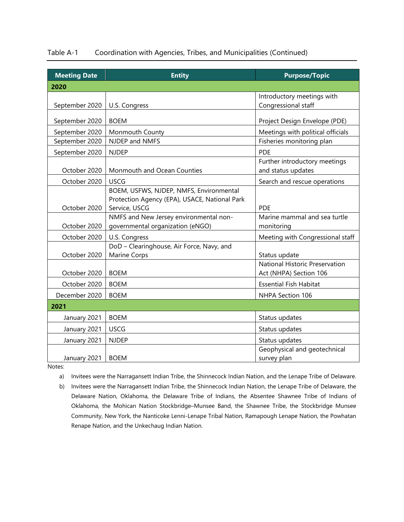| <b>Meeting Date</b> | <b>Entity</b>          | <b>Purpose/Topic</b>              |
|---------------------|------------------------|-----------------------------------|
| 2020                |                        |                                   |
|                     |                        | Introductory meetings with        |
| September 2020      | U.S. Congress          | Congressional staff               |
| September 2020      | <b>BOEM</b>            | Project Design Envelope (PDE)     |
| September 2020      | <b>Monmouth County</b> | Meetings with political officials |
| September 2020      | NJDEP and NMFS         | Fisheries monitoring plan         |
| September 2020      | <b>NJDEP</b>           | <b>PDE</b>                        |
|                     |                        |                                   |

### Table A-1 Coordination with Agencies, Tribes, and Municipalities (Continued)

October 2020 | Monmouth and Ocean Counties Further introductory meetings and status updates October 2020 | USCG Search and rescue operations October 2020 BOEM, USFWS, NJDEP, NMFS, Environmental Protection Agency (EPA), USACE, National Park Service, USCG PDE October 2020 NMFS and New Jersey environmental nongovernmental organization (eNGO) Marine mammal and sea turtle monitoring October 2020 | U.S. Congress Meeting with Congressional staff October 2020 DoD – Clearinghouse, Air Force, Navy, and Marine Corps Status update October 2020 | BOEM National Historic Preservation Act (NHPA) Section 106 October 2020 | BOEM **Essential Fish Habitat** December 2020 | BOEM NHPA Section 106 **2021** January 2021 | BOEM Status updates January 2021 | USCG Status updates January 2021 | NJDEP Status updates January 2021 | BOEM Geophysical and geotechnical survey plan

Notes:

a) Invitees were the Narragansett Indian Tribe, the Shinnecock Indian Nation, and the Lenape Tribe of Delaware.

b) Invitees were the Narragansett Indian Tribe, the Shinnecock Indian Nation, the Lenape Tribe of Delaware, the Delaware Nation, Oklahoma, the Delaware Tribe of Indians, the Absentee Shawnee Tribe of Indians of Oklahoma, the Mohican Nation Stockbridge–Munsee Band, the Shawnee Tribe, the Stockbridge Munsee Community, New York, the Nanticoke Lenni-Lenape Tribal Nation, Ramapough Lenape Nation, the Powhatan Renape Nation, and the Unkechaug Indian Nation.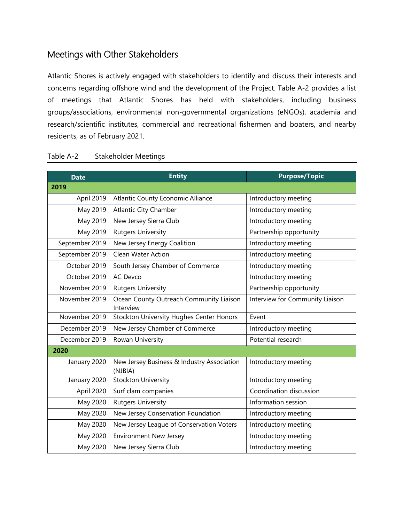## Meetings with Other Stakeholders

Atlantic Shores is actively engaged with stakeholders to identify and discuss their interests and concerns regarding offshore wind and the development of the Project. Table A-2 provides a list of meetings that Atlantic Shores has held with stakeholders, including business groups/associations, environmental non-governmental organizations (eNGOs), academia and research/scientific institutes, commercial and recreational fishermen and boaters, and nearby residents, as of February 2021.

| <b>Date</b>    | <b>Entity</b>                                         | <b>Purpose/Topic</b>            |
|----------------|-------------------------------------------------------|---------------------------------|
| 2019           |                                                       |                                 |
| April 2019     | Atlantic County Economic Alliance                     | Introductory meeting            |
| May 2019       | <b>Atlantic City Chamber</b>                          | Introductory meeting            |
| May 2019       | New Jersey Sierra Club                                | Introductory meeting            |
| May 2019       | <b>Rutgers University</b>                             | Partnership opportunity         |
| September 2019 | New Jersey Energy Coalition                           | Introductory meeting            |
| September 2019 | Clean Water Action                                    | Introductory meeting            |
| October 2019   | South Jersey Chamber of Commerce                      | Introductory meeting            |
| October 2019   | <b>AC Devco</b>                                       | Introductory meeting            |
| November 2019  | <b>Rutgers University</b>                             | Partnership opportunity         |
| November 2019  | Ocean County Outreach Community Liaison<br>Interview  | Interview for Community Liaison |
| November 2019  | Stockton University Hughes Center Honors              | Event                           |
| December 2019  | New Jersey Chamber of Commerce                        | Introductory meeting            |
| December 2019  | Rowan University                                      | Potential research              |
| 2020           |                                                       |                                 |
| January 2020   | New Jersey Business & Industry Association<br>(NJBIA) | Introductory meeting            |
| January 2020   | <b>Stockton University</b>                            | Introductory meeting            |
| April 2020     | Surf clam companies                                   | Coordination discussion         |
| May 2020       | <b>Rutgers University</b>                             | Information session             |
| May 2020       | New Jersey Conservation Foundation                    | Introductory meeting            |
| May 2020       | New Jersey League of Conservation Voters              | Introductory meeting            |
| May 2020       | <b>Environment New Jersey</b>                         | Introductory meeting            |
| May 2020       | New Jersey Sierra Club                                | Introductory meeting            |

#### Table A-2 Stakeholder Meetings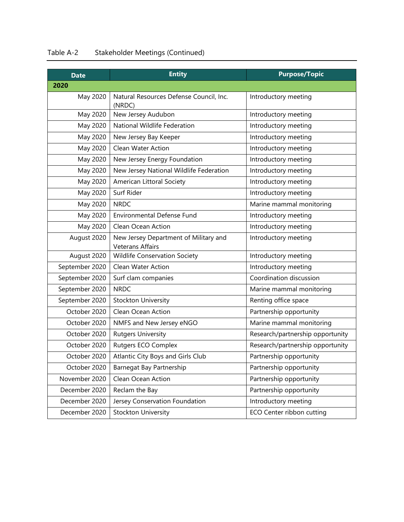| <b>Date</b>    | <b>Entity</b>                                                    | <b>Purpose/Topic</b>             |
|----------------|------------------------------------------------------------------|----------------------------------|
| 2020           |                                                                  |                                  |
| May 2020       | Natural Resources Defense Council, Inc.<br>(NRDC)                | Introductory meeting             |
| May 2020       | New Jersey Audubon                                               | Introductory meeting             |
| May 2020       | National Wildlife Federation                                     | Introductory meeting             |
| May 2020       | New Jersey Bay Keeper                                            | Introductory meeting             |
| May 2020       | <b>Clean Water Action</b>                                        | Introductory meeting             |
| May 2020       | New Jersey Energy Foundation                                     | Introductory meeting             |
| May 2020       | New Jersey National Wildlife Federation                          | Introductory meeting             |
| May 2020       | American Littoral Society                                        | Introductory meeting             |
| May 2020       | Surf Rider                                                       | Introductory meeting             |
| May 2020       | <b>NRDC</b>                                                      | Marine mammal monitoring         |
| May 2020       | <b>Environmental Defense Fund</b>                                | Introductory meeting             |
| May 2020       | Clean Ocean Action                                               | Introductory meeting             |
| August 2020    | New Jersey Department of Military and<br><b>Veterans Affairs</b> | Introductory meeting             |
| August 2020    | Wildlife Conservation Society                                    | Introductory meeting             |
| September 2020 | Clean Water Action                                               | Introductory meeting             |
| September 2020 | Surf clam companies                                              | Coordination discussion          |
| September 2020 | <b>NRDC</b>                                                      | Marine mammal monitoring         |
| September 2020 | <b>Stockton University</b>                                       | Renting office space             |
| October 2020   | Clean Ocean Action                                               | Partnership opportunity          |
| October 2020   | NMFS and New Jersey eNGO                                         | Marine mammal monitoring         |
| October 2020   | <b>Rutgers University</b>                                        | Research/partnership opportunity |
| October 2020   | Rutgers ECO Complex                                              | Research/partnership opportunity |
| October 2020   | Atlantic City Boys and Girls Club                                | Partnership opportunity          |
| October 2020   | Barnegat Bay Partnership                                         | Partnership opportunity          |
| November 2020  | Clean Ocean Action                                               | Partnership opportunity          |
| December 2020  | Reclam the Bay                                                   | Partnership opportunity          |
| December 2020  | Jersey Conservation Foundation                                   | Introductory meeting             |
| December 2020  | <b>Stockton University</b>                                       | ECO Center ribbon cutting        |

## Table A-2 Stakeholder Meetings (Continued)